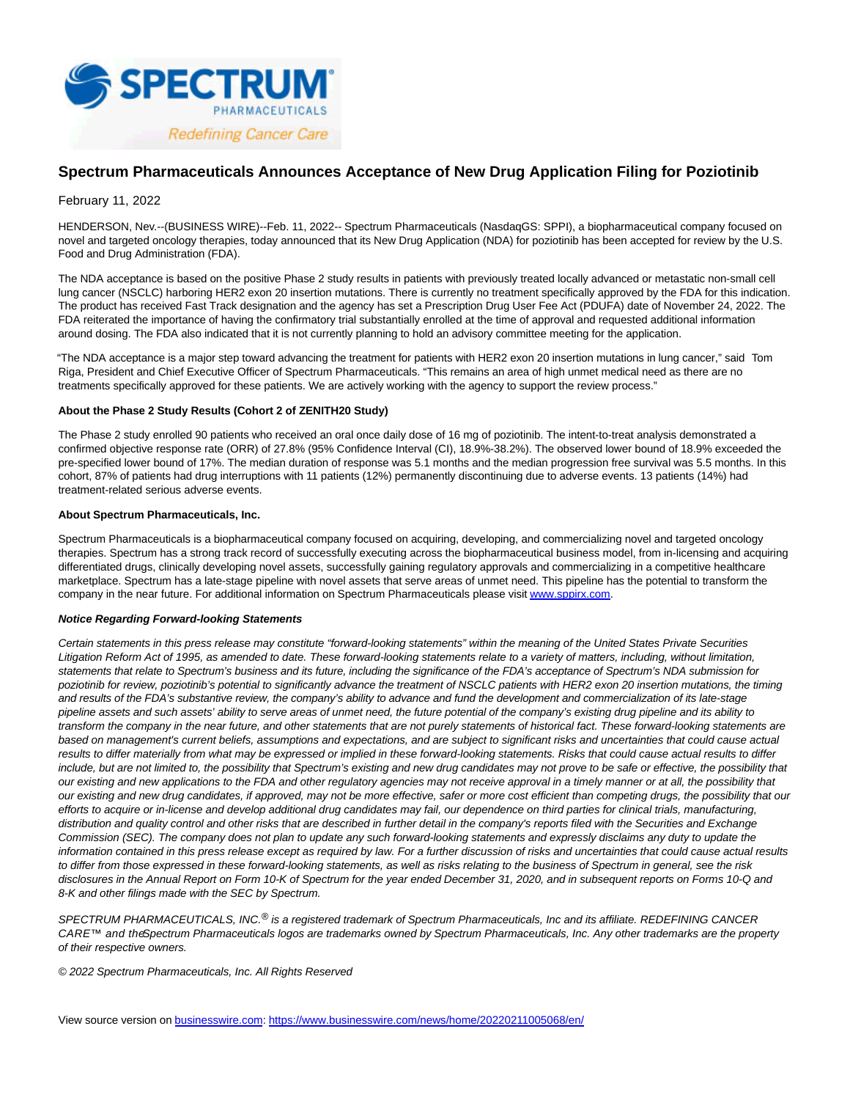

# **Spectrum Pharmaceuticals Announces Acceptance of New Drug Application Filing for Poziotinib**

## February 11, 2022

HENDERSON, Nev.--(BUSINESS WIRE)--Feb. 11, 2022-- Spectrum Pharmaceuticals (NasdaqGS: SPPI), a biopharmaceutical company focused on novel and targeted oncology therapies, today announced that its New Drug Application (NDA) for poziotinib has been accepted for review by the U.S. Food and Drug Administration (FDA).

The NDA acceptance is based on the positive Phase 2 study results in patients with previously treated locally advanced or metastatic non-small cell lung cancer (NSCLC) harboring HER2 exon 20 insertion mutations. There is currently no treatment specifically approved by the FDA for this indication. The product has received Fast Track designation and the agency has set a Prescription Drug User Fee Act (PDUFA) date of November 24, 2022. The FDA reiterated the importance of having the confirmatory trial substantially enrolled at the time of approval and requested additional information around dosing. The FDA also indicated that it is not currently planning to hold an advisory committee meeting for the application.

"The NDA acceptance is a major step toward advancing the treatment for patients with HER2 exon 20 insertion mutations in lung cancer," said Tom Riga, President and Chief Executive Officer of Spectrum Pharmaceuticals. "This remains an area of high unmet medical need as there are no treatments specifically approved for these patients. We are actively working with the agency to support the review process."

### **About the Phase 2 Study Results (Cohort 2 of ZENITH20 Study)**

The Phase 2 study enrolled 90 patients who received an oral once daily dose of 16 mg of poziotinib. The intent-to-treat analysis demonstrated a confirmed objective response rate (ORR) of 27.8% (95% Confidence Interval (CI), 18.9%-38.2%). The observed lower bound of 18.9% exceeded the pre-specified lower bound of 17%. The median duration of response was 5.1 months and the median progression free survival was 5.5 months. In this cohort, 87% of patients had drug interruptions with 11 patients (12%) permanently discontinuing due to adverse events. 13 patients (14%) had treatment-related serious adverse events.

#### **About Spectrum Pharmaceuticals, Inc.**

Spectrum Pharmaceuticals is a biopharmaceutical company focused on acquiring, developing, and commercializing novel and targeted oncology therapies. Spectrum has a strong track record of successfully executing across the biopharmaceutical business model, from in-licensing and acquiring differentiated drugs, clinically developing novel assets, successfully gaining regulatory approvals and commercializing in a competitive healthcare marketplace. Spectrum has a late-stage pipeline with novel assets that serve areas of unmet need. This pipeline has the potential to transform the company in the near future. For additional information on Spectrum Pharmaceuticals please visit [www.sppirx.com.](https://cts.businesswire.com/ct/CT?id=smartlink&url=http%3A%2F%2Fwww.sppirx.com&esheet=52577745&newsitemid=20220211005068&lan=en-US&anchor=www.sppirx.com&index=1&md5=c195704d5865e81baca12868d9acda88)

### **Notice Regarding Forward-looking Statements**

Certain statements in this press release may constitute "forward-looking statements" within the meaning of the United States Private Securities Litigation Reform Act of 1995, as amended to date. These forward-looking statements relate to a variety of matters, including, without limitation, statements that relate to Spectrum's business and its future, including the significance of the FDA's acceptance of Spectrum's NDA submission for poziotinib for review, poziotinib's potential to significantly advance the treatment of NSCLC patients with HER2 exon 20 insertion mutations, the timing and results of the FDA's substantive review, the company's ability to advance and fund the development and commercialization of its late-stage pipeline assets and such assets' ability to serve areas of unmet need, the future potential of the company's existing drug pipeline and its ability to transform the company in the near future, and other statements that are not purely statements of historical fact. These forward-looking statements are based on management's current beliefs, assumptions and expectations, and are subject to significant risks and uncertainties that could cause actual results to differ materially from what may be expressed or implied in these forward-looking statements. Risks that could cause actual results to differ include, but are not limited to, the possibility that Spectrum's existing and new drug candidates may not prove to be safe or effective, the possibility that our existing and new applications to the FDA and other regulatory agencies may not receive approval in a timely manner or at all, the possibility that our existing and new drug candidates, if approved, may not be more effective, safer or more cost efficient than competing drugs, the possibility that our efforts to acquire or in-license and develop additional drug candidates may fail, our dependence on third parties for clinical trials, manufacturing, distribution and quality control and other risks that are described in further detail in the company's reports filed with the Securities and Exchange Commission (SEC). The company does not plan to update any such forward-looking statements and expressly disclaims any duty to update the information contained in this press release except as required by law. For a further discussion of risks and uncertainties that could cause actual results to differ from those expressed in these forward-looking statements, as well as risks relating to the business of Spectrum in general, see the risk disclosures in the Annual Report on Form 10-K of Spectrum for the year ended December 31, 2020, and in subsequent reports on Forms 10-Q and 8-K and other filings made with the SEC by Spectrum.

SPECTRUM PHARMACEUTICALS, INC.<sup>®</sup> is a registered trademark of Spectrum Pharmaceuticals, Inc and its affiliate. REDEFINING CANCER CARE™ and theSpectrum Pharmaceuticals logos are trademarks owned by Spectrum Pharmaceuticals, Inc. Any other trademarks are the property of their respective owners.

© 2022 Spectrum Pharmaceuticals, Inc. All Rights Reserved